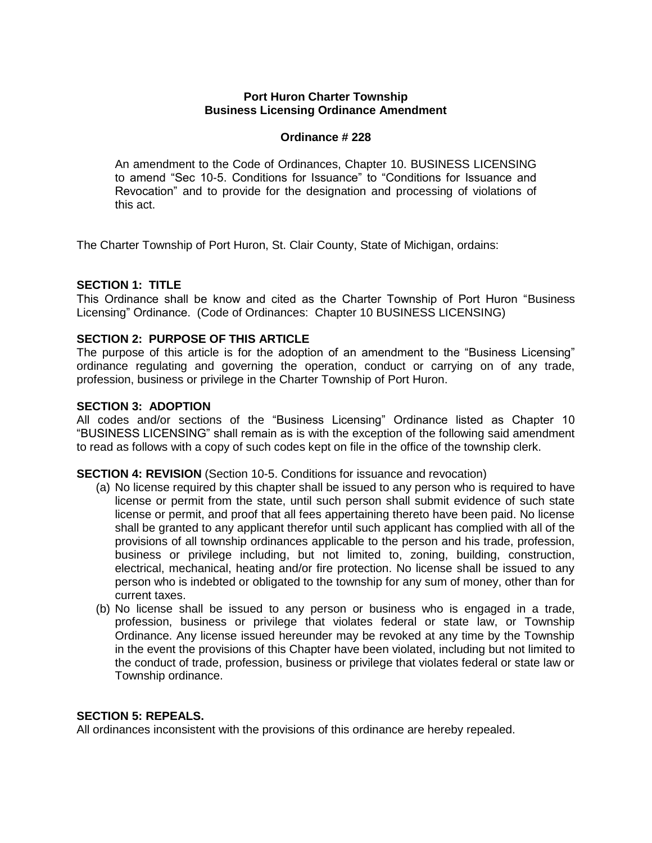# **Port Huron Charter Township Business Licensing Ordinance Amendment**

# **Ordinance # 228**

An amendment to the Code of Ordinances, Chapter 10. BUSINESS LICENSING to amend "Sec 10-5. Conditions for Issuance" to "Conditions for Issuance and Revocation" and to provide for the designation and processing of violations of this act.

The Charter Township of Port Huron, St. Clair County, State of Michigan, ordains:

# **SECTION 1: TITLE**

This Ordinance shall be know and cited as the Charter Township of Port Huron "Business Licensing" Ordinance. (Code of Ordinances: Chapter 10 BUSINESS LICENSING)

## **SECTION 2: PURPOSE OF THIS ARTICLE**

The purpose of this article is for the adoption of an amendment to the "Business Licensing" ordinance regulating and governing the operation, conduct or carrying on of any trade, profession, business or privilege in the Charter Township of Port Huron.

#### **SECTION 3: ADOPTION**

All codes and/or sections of the "Business Licensing" Ordinance listed as Chapter 10 "BUSINESS LICENSING" shall remain as is with the exception of the following said amendment to read as follows with a copy of such codes kept on file in the office of the township clerk.

#### **SECTION 4: REVISION** (Section 10-5. Conditions for issuance and revocation)

- (a) No license required by this chapter shall be issued to any person who is required to have license or permit from the state, until such person shall submit evidence of such state license or permit, and proof that all fees appertaining thereto have been paid. No license shall be granted to any applicant therefor until such applicant has complied with all of the provisions of all township ordinances applicable to the person and his trade, profession, business or privilege including, but not limited to, zoning, building, construction, electrical, mechanical, heating and/or fire protection. No license shall be issued to any person who is indebted or obligated to the township for any sum of money, other than for current taxes.
- (b) No license shall be issued to any person or business who is engaged in a trade, profession, business or privilege that violates federal or state law, or Township Ordinance. Any license issued hereunder may be revoked at any time by the Township in the event the provisions of this Chapter have been violated, including but not limited to the conduct of trade, profession, business or privilege that violates federal or state law or Township ordinance.

#### **SECTION 5: REPEALS.**

All ordinances inconsistent with the provisions of this ordinance are hereby repealed.